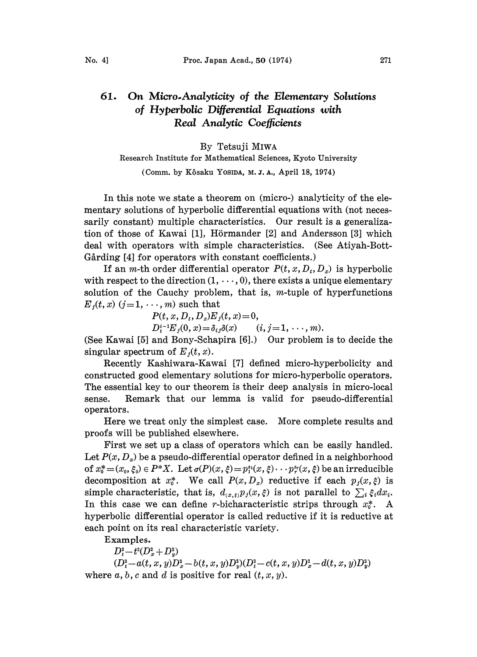## 61. On Micro-Analyticity of the Elementary Solutions of Hyperbolic Differential Equations with Real Analytic Coefficients

# By Tetsuji MIWA

### Research Institute for Mathematical Sciences, Kyoto University

(Comm. by Kôsaku Yosipa, M.J.A., April 18, 1974)

In this note we state a theorem on (micro-) analyticity of the elementary solutions of hyperbolic differential equations with (not necessarily constant) multiple characteristics. Our result is a generalization of those of Kawai [1], Hörmander [2] and Andersson [3] which deal with operators with simple characteristics. (See Atiyah-Bott-Gårding [4] for operators with constant coefficients.)

If an *m*-th order differential operator  $P(t, x, D_t, D_x)$  is hyperbolic with respect to the direction  $(1, \dots, 0)$ , there exists a unique elementary solution of the Cauchy problem, that is,  $m$ -tuple of hyperfunctions  $E_i(t, x)$   $(j=1,\dots, m)$  such that

 $P(t, x, D_t, D_x)E_i(t, x)=0,$ 

 $D_t^{i-1}E_j(0, x) = \delta_{ij}\delta(x)$   $(i, j = 1, \dots, m).$ 

(See Kawai [5] and Bony-Schapira [6].) Our problem is to decide the singular spectrum of  $E_i(t, x)$ .

Recently Kashiwara-Kawai [7] defined micro-hyperbolicity and constructed good elementary solutions for micro-hyperbolic operators, The essential key to our theorem is their deep analysis in micro-local sense. Remark that our lemma is valid for pseudo-differential operators.

Here we treat only the simplest case. More complete results and proofs will be published elsewhere.

First we set up a class of operators which can be easily handled. Let  $P(x, D_x)$  be a pseudo-differential operator defined in a neighborhood of  $x_0^*=(x_0, \xi_0) \in P^*X$ . Let  $\sigma(P)(x, \xi)=p_1^{s_1}(x, \xi)\cdots p_r^{s_r}(x, \xi)$  be an irreducible decomposition at  $x_0^*$ . We call  $P(x, D_x)$  reductive if each  $p_i(x, \xi)$  is simple characteristic, that is,  $d_{(x,\xi)}p_j(x,\xi)$  is not parallel to  $\sum_i \xi_i dx_i$ . In this case we can define r-bicharacteristic strips through  $x_0^*$ . A hyperbolic differential operator is called reductive if it is reductive at each point on its real characteristic variety.

Examples.

 $D_{t}^{2}-t^{2}(D_{x}^{2}+D_{y}^{2})$ 

 $(D_t^2-a(t, x, y)D_x^2-b(t, x, y)D_y^2)(D_t^2-c(t, x, y)D_x^2-d(t, x, y)D_y^2)$ where  $a, b, c$  and  $d$  is positive for real  $(t, x, y)$ . --